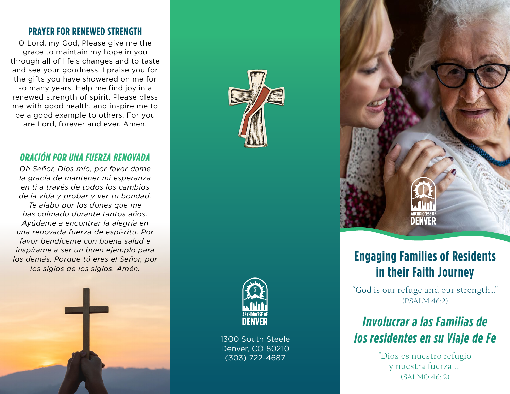### **PRAYER FOR RENEWED STRENGTH**

O Lord, my God, Please give me the grace to maintain my hope in you through all of life's changes and to taste and see your goodness. I praise you for the gifts you have showered on me for so many years. Help me find joy in a renewed strength of spirit. Please bless me with good health, and inspire me to be a good example to others. For you are Lord, forever and ever. Amen.

### *ORACIÓN POR UNA FUERZA RENOVADA*

*Oh Señor, Dios mío, por favor dame la gracia de mantener mi esperanza en ti a través de todos los cambios de la vida y probar y ver tu bondad. Te alabo por los dones que me has colmado durante tantos años. Ayúdame a encontrar la alegría en una renovada fuerza de espí-ritu. Por favor bendíceme con buena salud e inspírame a ser un buen ejemplo para los demás. Porque tú eres el Señor, por los siglos de los siglos. Amén.* 







1300 South Steele Denver, CO 80210 (303) 722-4687



# **Engaging Families of Residents in their Faith Journey**

"God is our refuge and our strength…" (PSALM 46:2)

# *Involucrar a las Familias de los residentes en su Viaje de Fe*

"Dios es nuestro refugio y nuestra fuerza ..." (SALMO 46: 2)